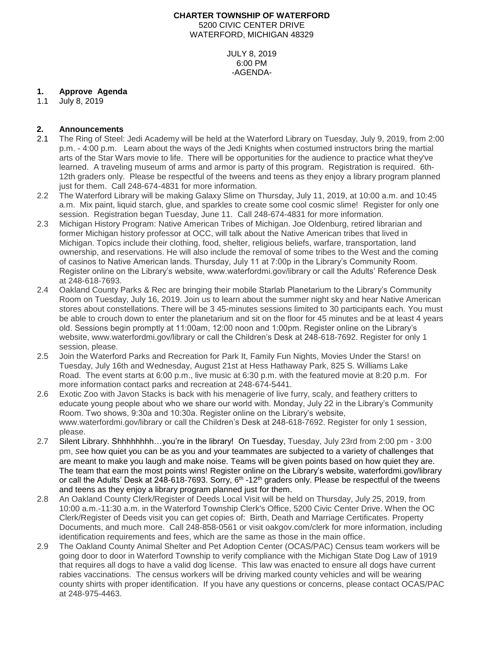# **CHARTER TOWNSHIP OF WATERFORD**

5200 CIVIC CENTER DRIVE WATERFORD, MICHIGAN 48329

> JULY 8, 2019 6:00 PM -AGENDA-

# **1. Approve Agenda**

1.1 July 8, 2019

## **2. Announcements**

- 2.1 The Ring of Steel: Jedi Academy will be held at the Waterford Library on Tuesday, July 9, 2019, from 2:00 p.m. - 4:00 p.m. Learn about the ways of the Jedi Knights when costumed instructors bring the martial arts of the Star Wars movie to life. There will be opportunities for the audience to practice what they've learned. A traveling museum of arms and armor is party of this program. Registration is required. 6th-12th graders only. Please be respectful of the tweens and teens as they enjoy a library program planned just for them. Call 248-674-4831 for more information.
- 2.2 The Waterford Library will be making Galaxy Slime on Thursday, July 11, 2019, at 10:00 a.m. and 10:45 a.m. Mix paint, liquid starch, glue, and sparkles to create some cool cosmic slime! Register for only one session. Registration began Tuesday, June 11. Call 248-674-4831 for more information.
- 2.3 Michigan History Program: Native American Tribes of Michigan. Joe Oldenburg, retired librarian and former Michigan history professor at OCC, will talk about the Native American tribes that lived in Michigan. Topics include their clothing, food, shelter, religious beliefs, warfare, transportation, land ownership, and reservations. He will also include the removal of some tribes to the West and the coming of casinos to Native American lands. Thursday, July 11 at 7:00p in the Library's Community Room. Register online on the Library's website, www.waterfordmi.gov/library or call the Adults' Reference Desk at 248-618-7693.
- 2.4 Oakland County Parks & Rec are bringing their mobile Starlab Planetarium to the Library's Community Room on Tuesday, July 16, 2019. Join us to learn about the summer night sky and hear Native American stores about constellations. There will be 3 45-minutes sessions limited to 30 participants each. You must be able to crouch down to enter the planetarium and sit on the floor for 45 minutes and be at least 4 years old. Sessions begin promptly at 11:00am, 12:00 noon and 1:00pm. Register online on the Library's website, www.waterfordmi.gov/library or call the Children's Desk at 248-618-7692. Register for only 1 session, please.
- 2.5 Join the Waterford Parks and Recreation for Park It, Family Fun Nights, Movies Under the Stars! on Tuesday, July 16th and Wednesday, August 21st at Hess Hathaway Park, 825 S. Williams Lake Road. The event starts at 6:00 p.m., live music at 6:30 p.m. with the featured movie at 8:20 p.m. For more information contact parks and recreation at 248-674-5441.
- 2.6 Exotic Zoo with Javon Stacks is back with his menagerie of live furry, scaly, and feathery critters to educate young people about who we share our world with. Monday, July 22 in the Library's Community Room. Two shows, 9:30a and 10:30a. Register online on the Library's website, www.waterfordmi.gov/library or call the Children's Desk at 248-618-7692. Register for only 1 session, please.
- 2.7 Silent Library. Shhhhhhhh…you're in the library! On Tuesday, Tuesday, July 23rd from 2:00 pm 3:00 pm, *s*ee how quiet you can be as you and your teammates are subjected to a variety of challenges that are meant to make you laugh and make noise. Teams will be given points based on how quiet they are. The team that earn the most points wins! Register online on the Library's website, [waterfordmi.gov/library](http://www.waterfordmi.gov/library) or call the Adults' Desk at 248-618-7693. Sorry, 6<sup>th</sup> -12<sup>th</sup> graders only. Please be respectful of the tweens and teens as they enjoy a library program planned just for them.
- 2.8 An Oakland County Clerk/Register of Deeds Local Visit will be held on Thursday, July 25, 2019, from 10:00 a.m.-11:30 a.m. in the Waterford Township Clerk's Office, 5200 Civic Center Drive. When the OC Clerk/Register of Deeds visit you can get copies of: Birth, Death and Marriage Certificates. Property Documents, and much more. Call 248-858-0561 or visit oakgov.com/clerk for more information, including identification requirements and fees, which are the same as those in the main office.
- 2.9 The Oakland County Animal Shelter and Pet Adoption Center (OCAS/PAC) Census team workers will be going door to door in Waterford Township to verify compliance with the Michigan State Dog Law of 1919 that requires all dogs to have a valid dog license. This law was enacted to ensure all dogs have current rabies vaccinations. The census workers will be driving marked county vehicles and will be wearing county shirts with proper identification. If you have any questions or concerns, please contact OCAS/PAC at 248-975-4463.